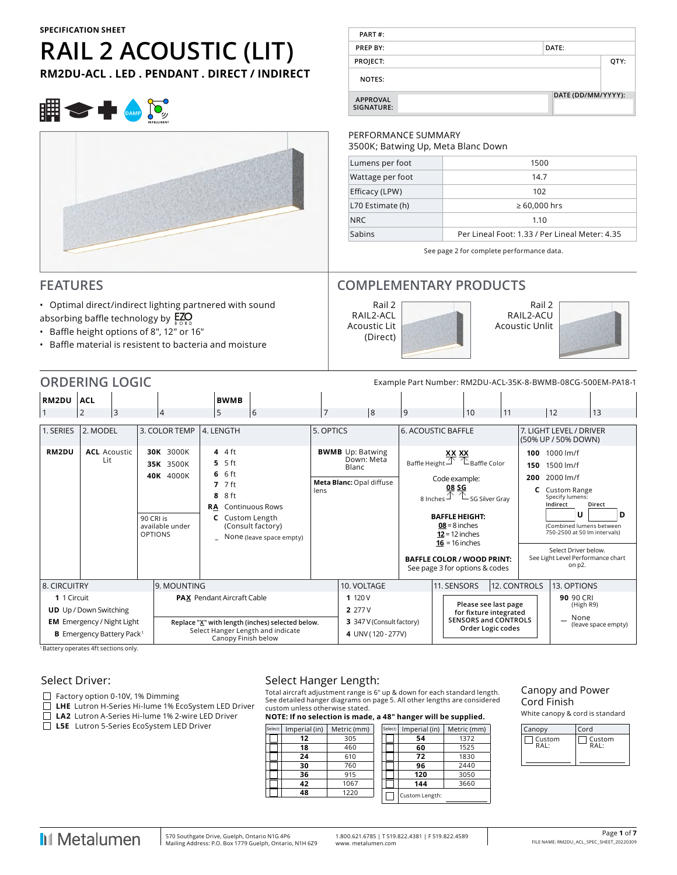# **RAIL 2 ACOUSTIC (LIT)**

**RM2DU-ACL . LED . PENDANT . DIRECT / INDIRECT**



# **FEATURES**

- Optimal direct/indirect lighting partnered with sound absorbing baffle technology by  $EZO$
- Baffle height options of 8", 12" or 16"
- Baffle material is resistent to bacteria and moisture

| PART#:                        |                    |      |
|-------------------------------|--------------------|------|
| PREP BY:                      | DATE:              |      |
| PROJECT:                      |                    | QTY: |
| <b>NOTES:</b>                 |                    |      |
| <b>APPROVAL</b><br>SIGNATURE: | DATE (DD/MM/YYYY): |      |

#### PERFORMANCE SUMMARY

3500K; Batwing Up, Meta Blanc Down

| Lumens per foot  | 1500                                           |
|------------------|------------------------------------------------|
| Wattage per foot | 14.7                                           |
| Efficacy (LPW)   | 102                                            |
| L70 Estimate (h) | $\geq 60,000$ hrs                              |
| NRC.             | 1.10                                           |
| Sabins           | Per Lineal Foot: 1.33 / Per Lineal Meter: 4.35 |
|                  |                                                |

See page 2 for complete performance data.

# **COMPLEMENTARY PRODUCTS**





|                                     | <b>ORDERING LOGIC</b><br>Example Part Number: RM2DU-ACL-35K-8-BWMB-08CG-500EM-PA18-1 |                |                             |                                                        |                                                                                           |                                                                                       |                |                                                 |                                        |                           |  |                                                                                                                                                                                                                                                                                                           |    |                                                                               |                                                                                                                                                                                                                                             |                     |                                |  |
|-------------------------------------|--------------------------------------------------------------------------------------|----------------|-----------------------------|--------------------------------------------------------|-------------------------------------------------------------------------------------------|---------------------------------------------------------------------------------------|----------------|-------------------------------------------------|----------------------------------------|---------------------------|--|-----------------------------------------------------------------------------------------------------------------------------------------------------------------------------------------------------------------------------------------------------------------------------------------------------------|----|-------------------------------------------------------------------------------|---------------------------------------------------------------------------------------------------------------------------------------------------------------------------------------------------------------------------------------------|---------------------|--------------------------------|--|
| RM2DU                               | <b>ACL</b>                                                                           |                |                             |                                                        | <b>BWMB</b>                                                                               |                                                                                       |                |                                                 |                                        |                           |  |                                                                                                                                                                                                                                                                                                           |    |                                                                               |                                                                                                                                                                                                                                             |                     |                                |  |
|                                     | $\overline{2}$                                                                       | $\overline{3}$ |                             | $\overline{4}$                                         | 5                                                                                         | 6                                                                                     | $\overline{7}$ |                                                 | 8                                      | 9                         |  | 10                                                                                                                                                                                                                                                                                                        | 11 |                                                                               | 12                                                                                                                                                                                                                                          | 13                  |                                |  |
| 1. SERIES                           | 2. MODEL                                                                             |                |                             | 3. COLOR TEMP                                          | 4. LENGTH                                                                                 |                                                                                       | 5. OPTICS      |                                                 |                                        | <b>6. ACOUSTIC BAFFLE</b> |  |                                                                                                                                                                                                                                                                                                           |    |                                                                               | 7. LIGHT LEVEL / DRIVER<br>(50% UP / 50% DOWN)                                                                                                                                                                                              |                     |                                |  |
| RM2DU                               | <b>ACL</b> Acoustic<br>Lit                                                           |                | 90 CRI is<br><b>OPTIONS</b> | 30K 3000K<br>35K 3500K<br>40K 4000K<br>available under | $4.4$ ft<br>$5.5$ ft<br>$6.6$ ft<br>$7.7$ ft<br>8 ft<br>8<br><b>RA</b><br>C Custom Length | <b>Continuous Rows</b><br>(Consult factory)<br>None (leave space empty)               | lens           | <b>BWMB</b> Up: Batwing<br>Blanc                | Down: Meta<br>Meta Blanc: Opal diffuse |                           |  | Baffle Height $\overbrace{\triangle} \mathbb{X}$ Baffle Color<br>Code example:<br>08 SG<br>8 Inches $\mathcal{D}$ $\mathcal{L}$ SG Silver Gray<br><b>BAFFLE HEIGHT:</b><br>$08 = 8$ inches<br>$12 = 12$ inches<br>$16 = 16$ inches<br><b>BAFFLE COLOR / WOOD PRINT:</b><br>See page 3 for options & codes |    | 200                                                                           | 100 1000 lm/f<br>150 1500 lm/f<br>2000 lm/f<br><b>C</b> Custom Range<br>Specify lumens:<br>Indirect<br>U<br>(Combined lumens between<br>750-2500 at 50 lm intervals)<br>Select Driver below.<br>See Light Level Performance chart<br>on p2. | Direct<br>D         |                                |  |
| 8. CIRCUITRY                        |                                                                                      |                |                             | 9. MOUNTING                                            |                                                                                           |                                                                                       |                | 10. VOLTAGE                                     |                                        |                           |  | 11. SENSORS                                                                                                                                                                                                                                                                                               |    | 12. CONTROLS                                                                  | 13. OPTIONS                                                                                                                                                                                                                                 |                     |                                |  |
| 1 1 Circuit                         | <b>UD</b> Up / Down Switching<br><b>EM</b> Emergency / Night Light                   |                |                             |                                                        | <b>PAX</b> Pendant Aircraft Cable                                                         |                                                                                       |                | 1 120 V<br>2 277 V<br>3 347 V (Consult factory) |                                        |                           |  |                                                                                                                                                                                                                                                                                                           |    | Please see last page<br>for fixture integrated<br><b>SENSORS and CONTROLS</b> |                                                                                                                                                                                                                                             |                     | 90 90 CRI<br>(High R9)<br>None |  |
| Battery operates 4ft sections only. | <b>B</b> Emergency Battery Pack <sup>1</sup>                                         |                |                             |                                                        | Canopy Finish below                                                                       | Replace "X" with length (inches) selected below.<br>Select Hanger Length and indicate |                |                                                 | 4 UNV (120 - 277V)                     |                           |  | Order Logic codes                                                                                                                                                                                                                                                                                         |    |                                                                               |                                                                                                                                                                                                                                             | (leave space empty) |                                |  |

ry op

#### Select Driver:

Factory option 0-10V, 1% Dimming

**LHE** Lutron H-Series Hi-lume 1% EcoSystem LED Driver

**LA2** Lutron A-Series Hi-lume 1% 2-wire LED Driver

**L5E** Lutron 5-Series EcoSystem LED Driver

# Select Hanger Length:

Total aircraft adjustment range is 6" up & down for each standard length. See detailed hanger diagrams on page 5. All other lengths are considered custom unless otherwise stated.

**NOTE: If no selection is made, a 48" hanger will be supplied.**

| Select: | Imperial (in) | Metric (mm) |  | Select: | Imperial (in)  | Metric (mm) |
|---------|---------------|-------------|--|---------|----------------|-------------|
|         | 12            | 305         |  |         | 54             | 1372        |
|         | 18            | 460         |  |         | 60             | 1525        |
|         | 24            | 610         |  |         | 72             | 1830        |
|         | 30            | 760         |  |         | 96             | 2440        |
|         | 36            | 915         |  |         | 120            | 3050        |
|         | 42            | 1067        |  |         | 144            | 3660        |
|         | 48            | 1220        |  |         | Custom Length: |             |
|         |               |             |  |         |                |             |

#### Canopy and Power Cord Finish

White canopy & cord is standard

| Canopy | Cord           |
|--------|----------------|
| Custom | Custom<br>RAI. |
|        |                |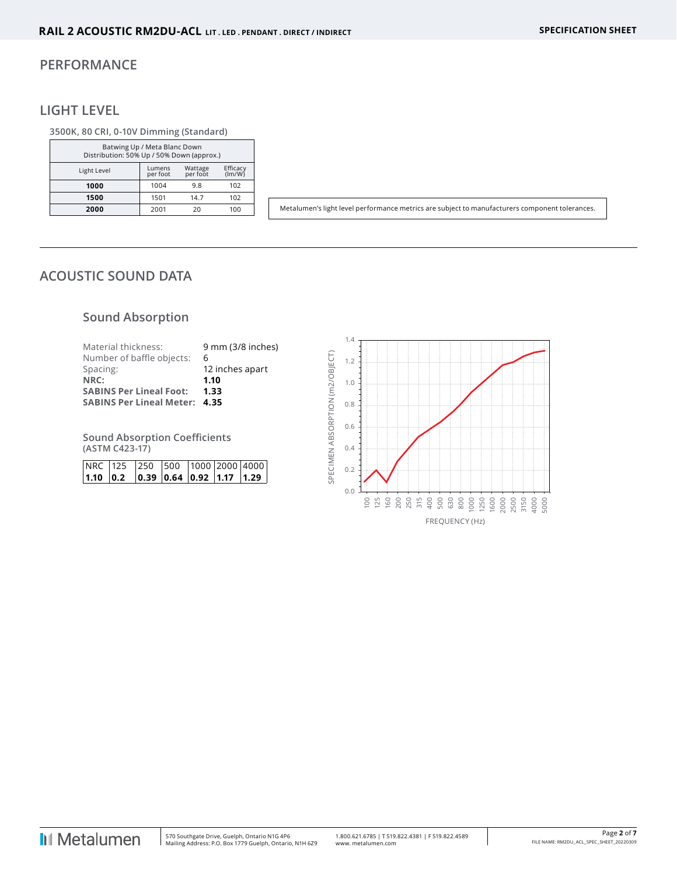#### **PERFORMANCE**

# **LIGHT LEVEL**

#### **3500K, 80 CRI, 0-10V Dimming (Standard)**

| Batwing Up / Meta Blanc Down<br>Distribution: 50% Up / 50% Down (approx.) |                    |                     |                    |  |  |  |  |  |
|---------------------------------------------------------------------------|--------------------|---------------------|--------------------|--|--|--|--|--|
| Light Level                                                               | Lumens<br>per foot | Wattage<br>per foot | Efficacy<br>(lm/W) |  |  |  |  |  |
| 1000                                                                      | 1004               | 9.8                 | 102                |  |  |  |  |  |
| 1500                                                                      | 1501               | 14.7                | 102                |  |  |  |  |  |
| 2000                                                                      | 2001               | 20                  | 100                |  |  |  |  |  |

Metalumen's light level performance metrics are subject to manufacturers component tolerances.

# **ACOUSTIC SOUND DATA**

# **Sound Absorption**

| Material thickness:                  | 9 mm (3/8 inches) |
|--------------------------------------|-------------------|
| Number of baffle objects:            | 6                 |
| Spacing:                             | 12 inches apart   |
| NRC:                                 | 1.10              |
| <b>SABINS Per Lineal Foot:</b>       | 1.33              |
| <b>SABINS Per Lineal Meter: 4.35</b> |                   |
|                                      |                   |

**Sound Absorption Coefficients (ASTM C423-17)**

| NRC 125 250 500 1000 2000 4000                                                            |  |  |  |
|-------------------------------------------------------------------------------------------|--|--|--|
| $\vert$ 1.10 $\vert$ 0.2 $\vert$ 0.39 $\vert$ 0.64 $\vert$ 0.92 $\vert$ 1.17 $\vert$ 1.29 |  |  |  |

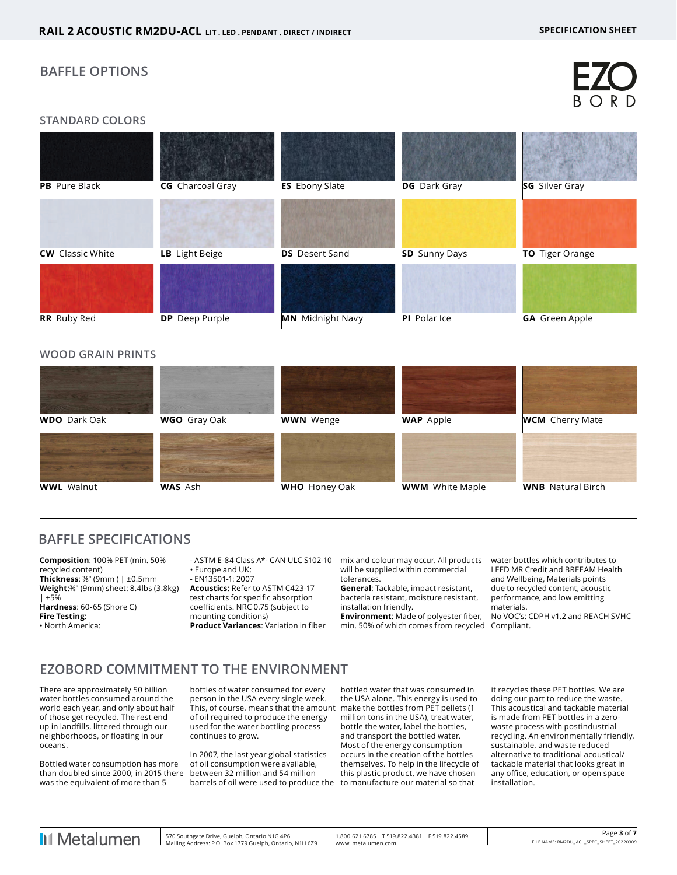## **BAFFLE OPTIONS**

#### **STANDARD COLORS**

| PB Pure Black           | CG Charcoal Gray      | <b>ES</b> Ebony Slate   | DG Dark Gray         | SG Silver Gray        |
|-------------------------|-----------------------|-------------------------|----------------------|-----------------------|
| <b>CW</b> Classic White | LB Light Beige        | <b>DS</b> Desert Sand   | <b>SD</b> Sunny Days | TO Tiger Orange       |
| RR Ruby Red             | <b>DP</b> Deep Purple | <b>MN</b> Midnight Navy | PI Polar Ice         | <b>GA</b> Green Apple |

#### **WOOD GRAIN PRINTS**



# **BAFFLE SPECIFICATIONS**

**Composition**: 100% PET (min. 50% recycled content) **Thickness**: ⅜" (9mm ) | ±0.5mm **Weight:**⅜" (9mm) sheet: 8.4lbs (3.8kg) | ±5% **Hardness**: 60-65 (Shore C) **Fire Testing:** • North America:

- ASTM E-84 Class A\*- CAN ULC S102-10 • Europe and UK:

- EN13501-1: 2007

**Acoustics:** Refer to ASTM C423-17 test charts for specific absorption coefficients. NRC 0.75 (subject to mounting conditions) **Product Variances**: Variation in fiber mix and colour may occur. All products will be supplied within commercial tolerances.

**General**: Tackable, impact resistant, bacteria resistant, moisture resistant, installation friendly.

**Environment**: Made of polyester fiber, min. 50% of which comes from recycled Compliant.

water bottles which contributes to LEED MR Credit and BREEAM Health and Wellbeing, Materials points due to recycled content, acoustic performance, and low emitting .<br>materials.

No VOC's: CDPH v1.2 and REACH SVHC

# **EZOBORD COMMITMENT TO THE ENVIRONMENT**

There are approximately 50 billion water bottles consumed around the world each year, and only about half of those get recycled. The rest end up in landfills, littered through our neighborhoods, or floating in our oceans.

Bottled water consumption has more than doubled since 2000; in 2015 there was the equivalent of more than 5

bottles of water consumed for every person in the USA every single week. This, of course, means that the amount make the bottles from PET pellets (1 of oil required to produce the energy used for the water bottling process continues to grow.

In 2007, the last year global statistics of oil consumption were available, between 32 million and 54 million barrels of oil were used to produce the to manufacture our material so that

bottled water that was consumed in the USA alone. This energy is used to million tons in the USA), treat water, bottle the water, label the bottles, and transport the bottled water. Most of the energy consumption occurs in the creation of the bottles themselves. To help in the lifecycle of this plastic product, we have chosen

it recycles these PET bottles. We are doing our part to reduce the waste. This acoustical and tackable material is made from PET bottles in a zerowaste process with postindustrial recycling. An environmentally friendly, sustainable, and waste reduced alternative to traditional acoustical/ tackable material that looks great in any office, education, or open space installation.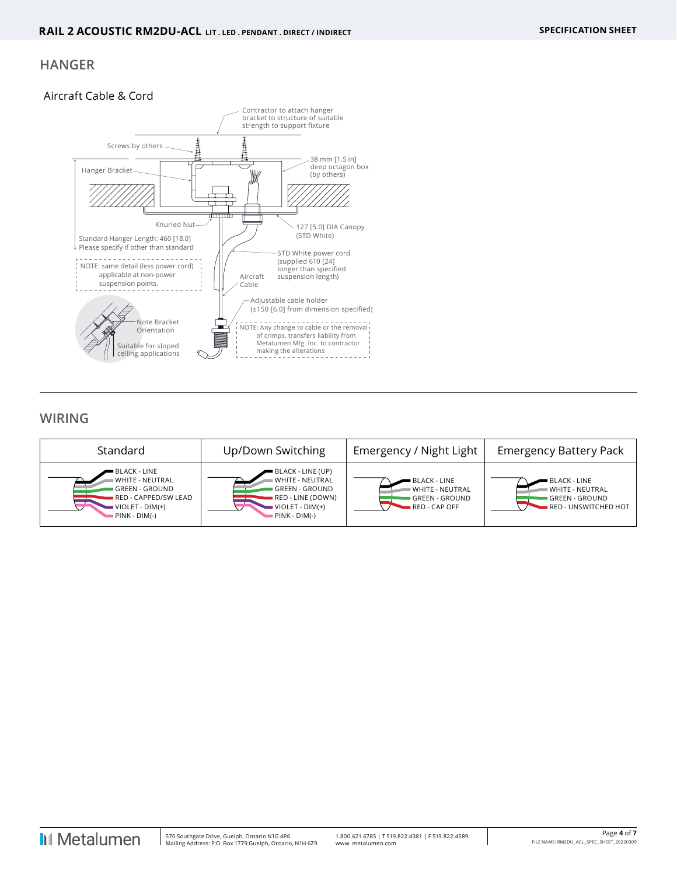## **HANGER**

#### Aircraft Cable & Cord



# **WIRING**

| Standard                                                                                                               | Up/Down Switching                                                                                                                  | Emergency / Night Light                                                                 | <b>Emergency Battery Pack</b>                                                           |
|------------------------------------------------------------------------------------------------------------------------|------------------------------------------------------------------------------------------------------------------------------------|-----------------------------------------------------------------------------------------|-----------------------------------------------------------------------------------------|
| ■ BLACK - LINE<br><b>WHITE - NEUTRAL</b><br>GREEN - GROUND<br>RED - CAPPED/SW LEAD<br>VIOLET - DIM(+)<br>PINK - DIM(-) | ■ BLACK - LINE (UP)<br>⊪ WHITE - NEUTRAL<br>GREEN - GROUND<br>RED - LINE (DOWN)<br>$\blacksquare$ VIOLET - DIM(+)<br>PINK - DIM(-) | <b>BLACK - LINE</b><br><b>WHITE - NEUTRAL</b><br><b>GREEN - GROUND</b><br>RED - CAP OFF | <b>BLACK - LINE</b><br><b>WHITE - NEUTRAL</b><br>GREEN - GROUND<br>RED - UNSWITCHED HOT |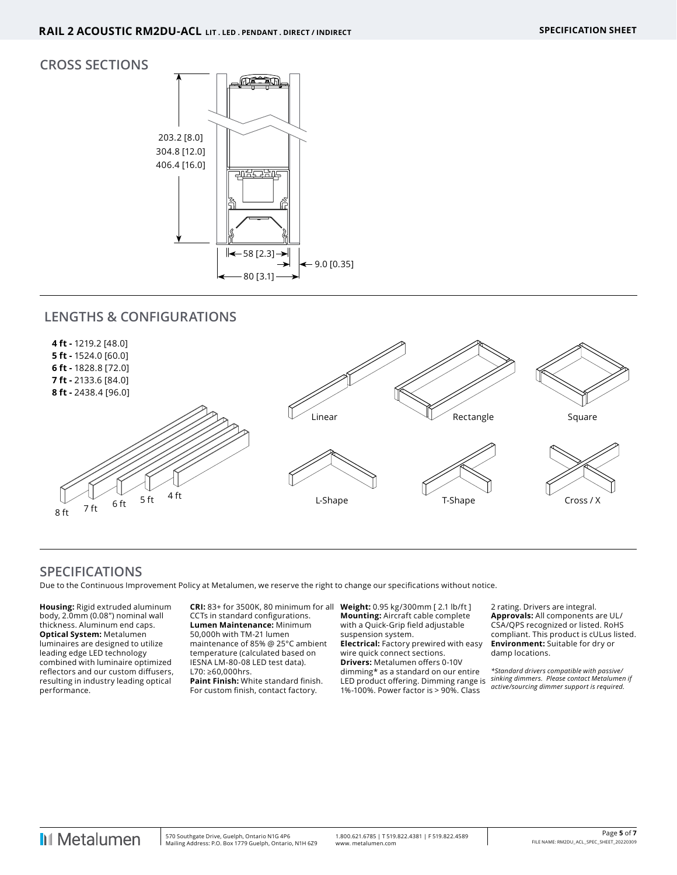#### **CROSS SECTIONS**



# **LENGTHS & CONFIGURATIONS**



# **SPECIFICATIONS**

Due to the Continuous Improvement Policy at Metalumen, we reserve the right to change our specifications without notice.

**Housing:** Rigid extruded aluminum body, 2.0mm (0.08") nominal wall thickness. Aluminum end caps. **Optical System:** Metalumen luminaires are designed to utilize leading edge LED technology combined with luminaire optimized reflectors and our custom diffusers, resulting in industry leading optical performance.

**CRI:** 83+ for 3500K, 80 minimum for all CCTs in standard configurations. **Lumen Maintenance:** Minimum 50,000h with TM-21 lumen maintenance of 85% @ 25°C ambient temperature (calculated based on IESNA LM-80-08 LED test data). L70: ≥60,000hrs. **Paint Finish:** White standard finish. For custom finish, contact factory.

**Weight:** 0.95 kg/300mm [ 2.1 lb/ft ] **Mounting:** Aircraft cable complete with a Quick-Grip field adjustable suspension system.

**Electrical:** Factory prewired with easy wire quick connect sections. **Drivers:** Metalumen offers 0-10V dimming\* as a standard on our entire LED product offering. Dimming range is 1%-100%. Power factor is > 90%. Class

2 rating. Drivers are integral. **Approvals:** All components are UL/ CSA/QPS recognized or listed. RoHS compliant. This product is cULus listed. **Environment:** Suitable for dry or damp locations.

*\*Standard drivers compatible with passive/ sinking dimmers. Please contact Metalumen if active/sourcing dimmer support is required.*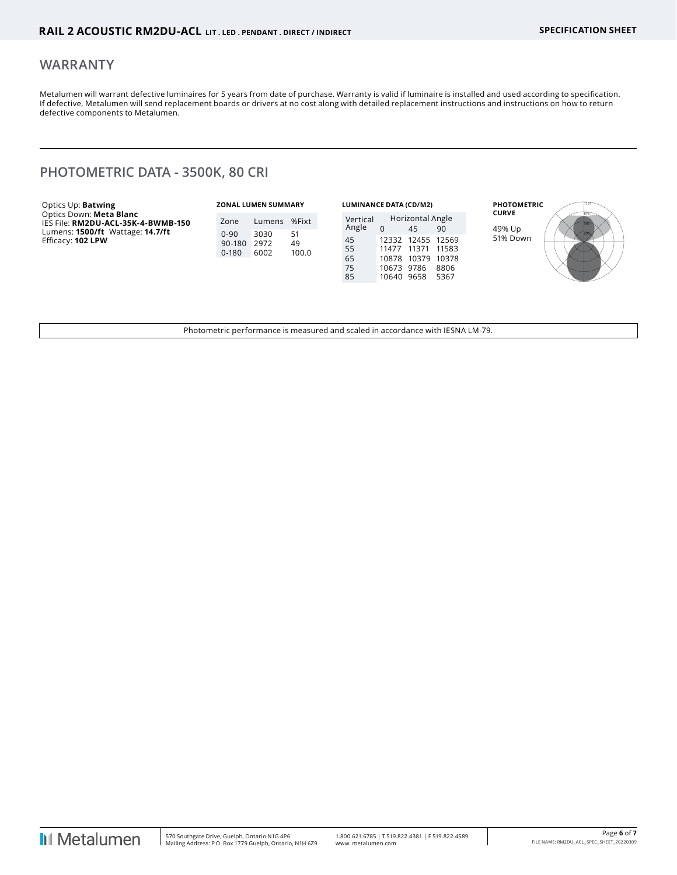#### **WARRANTY**

Metalumen will warrant defective luminaires for 5 years from date of purchase. Warranty is valid if luminaire is installed and used according to specification. If defective, Metalumen will send replacement boards or drivers at no cost along with detailed replacement instructions and instructions on how to return defective components to Metalumen.

# **PHOTOMETRIC DATA - 3500K, 80 CRI**

| Optics Up: <b>Batwing</b>                                                                         |                     | <b>ZONAL LUMEN SUMMARY</b> |                   | <b>LUMINANCE DATA (CD/M2)</b> |                                            |                                           |                       | <b>PHOTOMETRIC</b>     |  |
|---------------------------------------------------------------------------------------------------|---------------------|----------------------------|-------------------|-------------------------------|--------------------------------------------|-------------------------------------------|-----------------------|------------------------|--|
| Optics Down: Meta Blanc<br>IES File: RM2DU-ACL-35K-4-BWMB-150<br>Lumens: 1500/ft Wattage: 14.7/ft | Zone<br>$0 - 90$    | Lumens<br>3030             | %Fixt             | Vertical<br>Angle             |                                            | Horizontal Angle<br>45                    | 90                    | <b>CURVE</b><br>49% Up |  |
| Efficacy: 102 LPW                                                                                 | 90-180<br>$0 - 180$ | 2972<br>6002               | 51<br>49<br>100.0 | 45<br>55<br>65<br>75<br>85    | 12332<br>11477<br>10673 9786<br>10640 9658 | 12455 12569<br>11371<br>10878 10379 10378 | 11583<br>8806<br>5367 | 51% Down               |  |

Photometric performance is measured and scaled in accordance with IESNA LM-79.